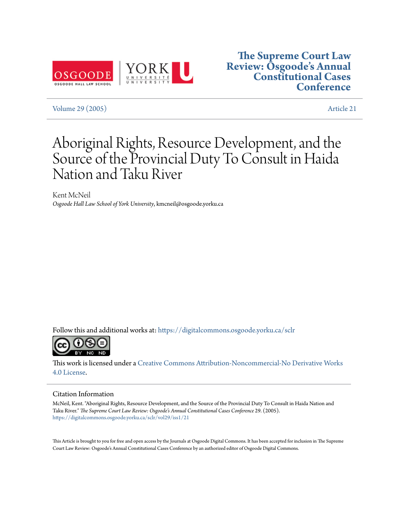

### **[The Supreme Court Law](https://digitalcommons.osgoode.yorku.ca/sclr?utm_source=digitalcommons.osgoode.yorku.ca%2Fsclr%2Fvol29%2Fiss1%2F21&utm_medium=PDF&utm_campaign=PDFCoverPages) [Review: Osgoode's Annual](https://digitalcommons.osgoode.yorku.ca/sclr?utm_source=digitalcommons.osgoode.yorku.ca%2Fsclr%2Fvol29%2Fiss1%2F21&utm_medium=PDF&utm_campaign=PDFCoverPages) [Constitutional Cases](https://digitalcommons.osgoode.yorku.ca/sclr?utm_source=digitalcommons.osgoode.yorku.ca%2Fsclr%2Fvol29%2Fiss1%2F21&utm_medium=PDF&utm_campaign=PDFCoverPages) [Conference](https://digitalcommons.osgoode.yorku.ca/sclr?utm_source=digitalcommons.osgoode.yorku.ca%2Fsclr%2Fvol29%2Fiss1%2F21&utm_medium=PDF&utm_campaign=PDFCoverPages)**

[Volume 29 \(2005\)](https://digitalcommons.osgoode.yorku.ca/sclr/vol29?utm_source=digitalcommons.osgoode.yorku.ca%2Fsclr%2Fvol29%2Fiss1%2F21&utm_medium=PDF&utm_campaign=PDFCoverPages) [Article 21](https://digitalcommons.osgoode.yorku.ca/sclr/vol29/iss1/21?utm_source=digitalcommons.osgoode.yorku.ca%2Fsclr%2Fvol29%2Fiss1%2F21&utm_medium=PDF&utm_campaign=PDFCoverPages)

# Aboriginal Rights, Resource Development, and the Source of the Provincial Duty To Consult in Haida Nation and Taku River

Kent McNeil *Osgoode Hall Law School of York University*, kmcneil@osgoode.yorku.ca

Follow this and additional works at: [https://digitalcommons.osgoode.yorku.ca/sclr](https://digitalcommons.osgoode.yorku.ca/sclr?utm_source=digitalcommons.osgoode.yorku.ca%2Fsclr%2Fvol29%2Fiss1%2F21&utm_medium=PDF&utm_campaign=PDFCoverPages)



This work is licensed under a [Creative Commons Attribution-Noncommercial-No Derivative Works](https://creativecommons.org/licenses/by-nc-nd/4.0/) [4.0 License.](https://creativecommons.org/licenses/by-nc-nd/4.0/)

#### Citation Information

McNeil, Kent. "Aboriginal Rights, Resource Development, and the Source of the Provincial Duty To Consult in Haida Nation and Taku River." *The Supreme Court Law Review: Osgoode's Annual Constitutional Cases Conference* 29. (2005). [https://digitalcommons.osgoode.yorku.ca/sclr/vol29/iss1/21](https://digitalcommons.osgoode.yorku.ca/sclr/vol29/iss1/21?utm_source=digitalcommons.osgoode.yorku.ca%2Fsclr%2Fvol29%2Fiss1%2F21&utm_medium=PDF&utm_campaign=PDFCoverPages)

This Article is brought to you for free and open access by the Journals at Osgoode Digital Commons. It has been accepted for inclusion in The Supreme Court Law Review: Osgoode's Annual Constitutional Cases Conference by an authorized editor of Osgoode Digital Commons.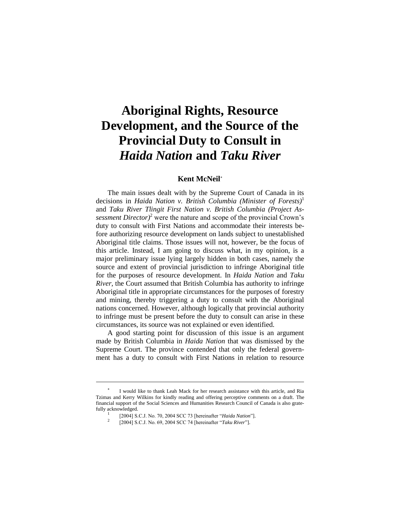## **Aboriginal Rights, Resource Development, and the Source of the Provincial Duty to Consult in**  *Haida Nation* **and** *Taku River*

#### **Kent McNeil**

The main issues dealt with by the Supreme Court of Canada in its decisions in *Haida Nation v. British Columbia (Minister of Forests)*<sup>1</sup> and *Taku River Tlingit First Nation v. British Columbia (Project Assessment Director)*<sup>2</sup> were the nature and scope of the provincial Crown's duty to consult with First Nations and accommodate their interests before authorizing resource development on lands subject to unestablished Aboriginal title claims. Those issues will not, however, be the focus of this article. Instead, I am going to discuss what, in my opinion, is a major preliminary issue lying largely hidden in both cases, namely the source and extent of provincial jurisdiction to infringe Aboriginal title for the purposes of resource development. In *Haida Nation* and *Taku River*, the Court assumed that British Columbia has authority to infringe Aboriginal title in appropriate circumstances for the purposes of forestry and mining, thereby triggering a duty to consult with the Aboriginal nations concerned. However, although logically that provincial authority to infringe must be present before the duty to consult can arise in these circumstances, its source was not explained or even identified.

A good starting point for discussion of this issue is an argument made by British Columbia in *Haida Nation* that was dismissed by the Supreme Court. The province contended that only the federal government has a duty to consult with First Nations in relation to resource

 $\ast$ I would like to thank Leah Mack for her research assistance with this article, and Ria Tzimas and Kerry Wilkins for kindly reading and offering perceptive comments on a draft. The financial support of the Social Sciences and Humanities Research Council of Canada is also gratefully acknowledged.

<sup>1</sup> [2004] S.C.J. No. 70, 2004 SCC 73 [hereinafter "*Haida Nation*"]. 2

<sup>[2004]</sup> S.C.J. No. 69, 2004 SCC 74 [hereinafter "*Taku River*"].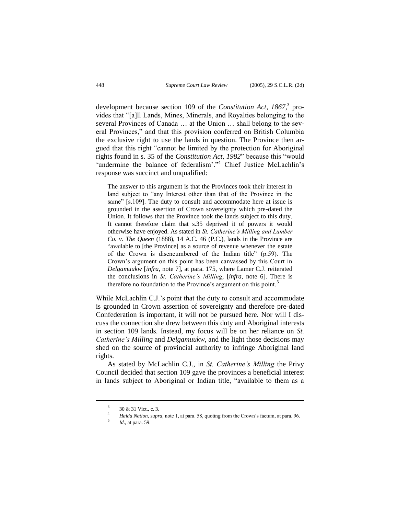development because section 109 of the *Constitution Act, 1867*, 3 provides that "[a]ll Lands, Mines, Minerals, and Royalties belonging to the several Provinces of Canada … at the Union … shall belong to the several Provinces," and that this provision conferred on British Columbia the exclusive right to use the lands in question. The Province then argued that this right "cannot be limited by the protection for Aboriginal rights found in s. 35 of the *Constitution Act, 1982*" because this "would 'undermine the balance of federalism'."<sup>4</sup> Chief Justice McLachlin's response was succinct and unqualified:

The answer to this argument is that the Provinces took their interest in land subject to "any Interest other than that of the Province in the same" [s.109]. The duty to consult and accommodate here at issue is grounded in the assertion of Crown sovereignty which pre-dated the Union. It follows that the Province took the lands subject to this duty. It cannot therefore claim that s.35 deprived it of powers it would otherwise have enjoyed. As stated in *St. Catherine's Milling and Lumber Co. v. The Queen* (1888), 14 A.C. 46 (P.C.), lands in the Province are "available to [the Province] as a source of revenue whenever the estate of the Crown is disencumbered of the Indian title" (p.59). The Crown's argument on this point has been canvassed by this Court in *Delgamuukw* [*infra*, note 7], at para. 175, where Lamer C.J. reiterated the conclusions in *St. Catherine's Milling*, [*infra*, note 6]. There is therefore no foundation to the Province's argument on this point.<sup>5</sup>

While McLachlin C.J.'s point that the duty to consult and accommodate is grounded in Crown assertion of sovereignty and therefore pre-dated Confederation is important, it will not be pursued here. Nor will I discuss the connection she drew between this duty and Aboriginal interests in section 109 lands. Instead, my focus will be on her reliance on *St. Catherine's Milling* and *Delgamuukw*, and the light those decisions may shed on the source of provincial authority to infringe Aboriginal land rights.

As stated by McLachlin C.J., in *St. Catherine's Milling* the Privy Council decided that section 109 gave the provinces a beneficial interest in lands subject to Aboriginal or Indian title, "available to them as a

<sup>3</sup> 30 & 31 Vict., c. 3.

<sup>4</sup> *Haida Nation*, *supra*, note 1, at para. 58, quoting from the Crown's factum, at para. 96.

<sup>5</sup> *Id*., at para. 59.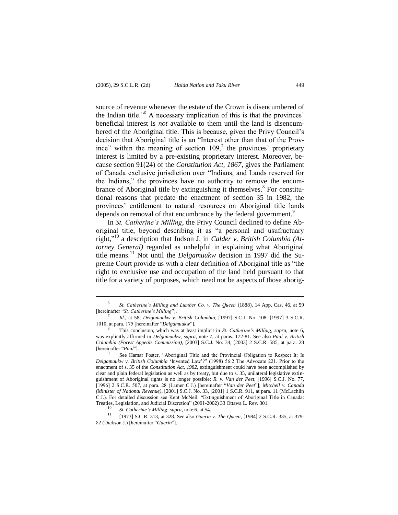l

source of revenue whenever the estate of the Crown is disencumbered of the Indian title."<sup>6</sup> A necessary implication of this is that the provinces' beneficial interest is *not* available to them until the land is disencumbered of the Aboriginal title. This is because, given the Privy Council's decision that Aboriginal title is an "Interest other than that of the Province" within the meaning of section  $109<sub>1</sub>$ <sup>7</sup> the provinces' proprietary interest is limited by a pre-existing proprietary interest. Moreover, because section 91(24) of the *Constitution Act, 1867*, gives the Parliament of Canada exclusive jurisdiction over "Indians, and Lands reserved for the Indians," the provinces have no authority to remove the encumbrance of Aboriginal title by extinguishing it themselves.<sup>8</sup> For constitutional reasons that predate the enactment of section 35 in 1982, the provinces' entitlement to natural resources on Aboriginal title lands depends on removal of that encumbrance by the federal government.<sup>9</sup>

In *St. Catherine's Milling*, the Privy Council declined to define Aboriginal title, beyond describing it as "a personal and usufructuary right,"<sup>10</sup> a description that Judson J. in *Calder v. British Columbia (Attorney General)* regarded as unhelpful in explaining what Aboriginal title means.<sup>11</sup> Not until the *Delgamuukw* decision in 1997 did the Supreme Court provide us with a clear definition of Aboriginal title as "the right to exclusive use and occupation of the land held pursuant to that title for a variety of purposes, which need not be aspects of those aborig-

<sup>6</sup> *St. Catherine's Milling and Lumber Co. v. The Queen* (1888), 14 App. Cas. 46, at 59 [hereinafter "*St. Catherine's Milling*"]. 7

*Id*., at 58; *Delgamuukw v. British Columbia*, [1997] S.C.J. No. 108, [1997] 3 S.C.R. 1010, at para. 175 [hereinafter "*Delgamuukw*"].

<sup>8</sup> This conclusion, which was at least implicit in *St. Catherine's Milling*, *supra*, note 6, was explicitly affirmed in *Delgamuukw*, *supra*, note 7, at paras. 172-81. See also *Paul v. British Columbia (Forest Appeals Commission)*, [2003] S.C.J. No. 34, [2003] 2 S.C.R. 585, at para. 28 [hereinafter "*Paul*"].

<sup>9</sup> See Hamar Foster, "Aboriginal Title and the Provincial Obligation to Respect It: Is *Delgamuukw v. British Columbia* 'Invented Law'?" (1998) 56:2 The Advocate 221. Prior to the enactment of s. 35 of the *Constitution Act, 1982*, extinguishment could have been accomplished by clear and plain federal legislation as well as by treaty, but due to s. 35, unilateral legislative extinguishment of Aboriginal rights is no longer possible: *R. v. Van der Peet*, [1996] S.C.J. No. 77, [1996] 2 S.C.R. 507, at para. 28 (Lamer C.J.) [hereinafter "*Van der Peet*"]; *Mitchell v. Canada (Minister of National Revenue)*, [2001] S.C.J. No. 33, [2001] 1 S.C.R. 911, at para. 11 (McLachlin C.J.). For detailed discussion see Kent McNeil, "Extinguishment of Aboriginal Title in Canada: Treaties, Legislation, and Judicial Discretion" (2001-2002) 33 Ottawa L. Rev. 301.

<sup>10</sup> *St. Catherine's Milling*, *supra*, note 6, at 54.

<sup>[1973]</sup> S.C.R. 313, at 328. See also *Guerin v. The Queen*, [1984] 2 S.C.R. 335, at 379-82 (Dickson J.) [hereinafter "*Guerin*"].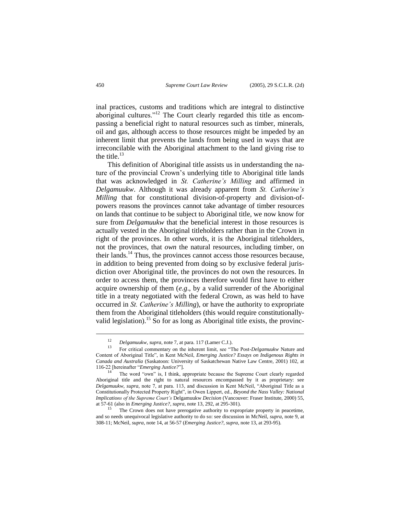inal practices, customs and traditions which are integral to distinctive aboriginal cultures."<sup>12</sup> The Court clearly regarded this title as encompassing a beneficial right to natural resources such as timber, minerals, oil and gas, although access to those resources might be impeded by an inherent limit that prevents the lands from being used in ways that are irreconcilable with the Aboriginal attachment to the land giving rise to the title. $^{13}$ 

This definition of Aboriginal title assists us in understanding the nature of the provincial Crown's underlying title to Aboriginal title lands that was acknowledged in *St. Catherine's Milling* and affirmed in *Delgamuukw*. Although it was already apparent from *St. Catherine's Milling* that for constitutional division-of-property and division-ofpowers reasons the provinces cannot take advantage of timber resources on lands that continue to be subject to Aboriginal title, we now know for sure from *Delgamuukw* that the beneficial interest in those resources is actually vested in the Aboriginal titleholders rather than in the Crown in right of the provinces. In other words, it is the Aboriginal titleholders, not the provinces, that *own* the natural resources, including timber, on their lands.<sup>14</sup> Thus, the provinces cannot access those resources because, in addition to being prevented from doing so by exclusive federal jurisdiction over Aboriginal title, the provinces do not own the resources. In order to access them, the provinces therefore would first have to either acquire ownership of them (*e.g*., by a valid surrender of the Aboriginal title in a treaty negotiated with the federal Crown, as was held to have occurred in *St. Catherine's Milling*), or have the authority to expropriate them from the Aboriginal titleholders (this would require constitutionallyvalid legislation).<sup>15</sup> So for as long as Aboriginal title exists, the provinc-

<sup>12</sup> *Delgamuukw*, *supra*, note 7, at para. 117 (Lamer C.J.).

<sup>13</sup> For critical commentary on the inherent limit, see "The Post-*Delgamuukw* Nature and Content of Aboriginal Title", in Kent McNeil, *Emerging Justice? Essays on Indigenous Rights in Canada and Australia* (Saskatoon: University of Saskatchewan Native Law Centre, 2001) 102, at 116-22 [hereinafter "*Emerging Justice?*"].

The word "own" is, I think, appropriate because the Supreme Court clearly regarded Aboriginal title and the right to natural resources encompassed by it as proprietary: see *Delgamuukw*, *supra*, note 7, at para. 113, and discussion in Kent McNeil, "Aboriginal Title as a Constitutionally Protected Property Right", in Owen Lippert, ed., *Beyond the Nass Valley: National Implications of the Supreme Court's* Delgamuukw *Decision* (Vancouver: Fraser Institute, 2000) 55, at 57-61 (also in *Emerging Justice?*, *supra*, note 13, 292, at 295-301).

The Crown does not have prerogative authority to expropriate property in peacetime, and so needs unequivocal legislative authority to do so: see discussion in McNeil, *supra*, note 9, at 308-11; McNeil, *supra*, note 14, at 56-57 (*Emerging Justice?*, *supra*, note 13, at 293-95).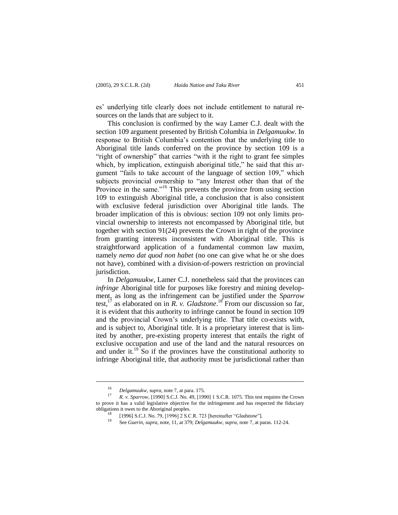es' underlying title clearly does not include entitlement to natural resources on the lands that are subject to it.

This conclusion is confirmed by the way Lamer C.J. dealt with the section 109 argument presented by British Columbia in *Delgamuukw*. In response to British Columbia's contention that the underlying title to Aboriginal title lands conferred on the province by section 109 is a "right of ownership" that carries "with it the right to grant fee simples which, by implication, extinguish aboriginal title," he said that this argument "fails to take account of the language of section 109," which subjects provincial ownership to "any Interest other than that of the Province in the same."<sup>16</sup> This prevents the province from using section 109 to extinguish Aboriginal title, a conclusion that is also consistent with exclusive federal jurisdiction over Aboriginal title lands. The broader implication of this is obvious: section 109 not only limits provincial ownership to interests not encompassed by Aboriginal title, but together with section 91(24) prevents the Crown in right of the province from granting interests inconsistent with Aboriginal title. This is straightforward application of a fundamental common law maxim, namely *nemo dat quod non habet* (no one can give what he or she does not have), combined with a division-of-powers restriction on provincial jurisdiction.

In *Delgamuukw*, Lamer C.J. nonetheless said that the provinces can *infringe* Aboriginal title for purposes like forestry and mining development, as long as the infringement can be justified under the *Sparrow* test,<sup>17</sup> as elaborated on in  $\overline{R}$ , v. *Gladstone*.<sup>18</sup> From our discussion so far, it is evident that this authority to infringe cannot be found in section 109 and the provincial Crown's underlying title. That title co-exists with, and is subject to, Aboriginal title. It is a proprietary interest that is limited by another, pre-existing property interest that entails the right of exclusive occupation and use of the land and the natural resources on and under it. $19^{\circ}$  So if the provinces have the constitutional authority to infringe Aboriginal title, that authority must be jurisdictional rather than

<sup>16</sup> *Delgamuukw*, *supra*, note 7, at para. 175.

<sup>17</sup> *R. v. Sparrow*, [1990] S.C.J. No. 49, [1990] 1 S.C.R. 1075. This test requires the Crown to prove it has a valid legislative objective for the infringement and has respected the fiduciary obligations it owes to the Aboriginal peoples.

<sup>18</sup> [1996] S.C.J. No. 79, [1996] 2 S.C.R. 723 [hereinafter "*Gladstone*"].

<sup>19</sup> See *Guerin*, *supra*, note, 11, at 379; *Delgamuukw*, *supra*, note 7, at paras. 112-24.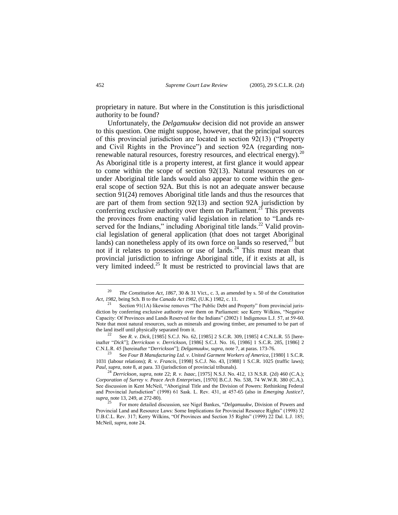proprietary in nature. But where in the Constitution is this jurisdictional authority to be found?

Unfortunately, the *Delgamuukw* decision did not provide an answer to this question. One might suppose, however, that the principal sources of this provincial jurisdiction are located in section 92(13) ("Property and Civil Rights in the Province") and section 92A (regarding nonrenewable natural resources, forestry resources, and electrical energy).<sup>20</sup> As Aboriginal title is a property interest, at first glance it would appear to come within the scope of section 92(13). Natural resources on or under Aboriginal title lands would also appear to come within the general scope of section 92A. But this is not an adequate answer because section 91(24) removes Aboriginal title lands and thus the resources that are part of them from section  $92(13)$  and section 92A jurisdiction by conferring exclusive authority over them on Parliament.<sup>21</sup> This prevents the provinces from enacting valid legislation in relation to "Lands reserved for the Indians," including Aboriginal title lands.<sup>22</sup> Valid provincial legislation of general application (that does not target Aboriginal lands) can nonetheless apply of its own force on lands so reserved, $^{23}$  but not if it relates to possession or use of lands.<sup>24</sup> This must mean that provincial jurisdiction to infringe Aboriginal title, if it exists at all, is very limited indeed. $^{25}$  It must be restricted to provincial laws that are

<sup>23</sup> See *Four B Manufacturing Ltd. v. United Garment Workers of America*, [1980] 1 S.C.R. 1031 (labour relations); *R. v. Francis*, [1998] S.C.J. No. 43, [1988] 1 S.C.R. 1025 (traffic laws); *Paul*, *supra*, note 8, at para. 33 (jurisdiction of provincial tribunals).

<sup>20</sup> *The Constitution Act, 1867*, 30 & 31 Vict., c. 3, as amended by s. 50 of the *Constitution Act, 1982*, being Sch. B to the *Canada Act 1982*, (U.K.) 1982, c. 11.

Section 91(1A) likewise removes "The Public Debt and Property" from provincial jurisdiction by conferring exclusive authority over them on Parliament: see Kerry Wilkins, "Negative Capacity: Of Provinces and Lands Reserved for the Indians" (2002) 1 Indigenous L.J. 57, at 59-60. Note that most natural resources, such as minerals and growing timber, are presumed to be part of the land itself until physically separated from it.

<sup>22</sup> See *R. v. Dick*, [1985] S.C.J. No. 62, [1985] 2 S.C.R. 309, [1985] 4 C.N.L.R. 55 [hereinafter "*Dick*"]; *Derrickson v. Derrickson*, [1986] S.C.J. No. 16, [1986] 1 S.C.R. 285, [1986] 2 C.N.L.R. 45 [hereinafter "*Derrickson*"]; *Delgamuukw*, *supra*, note 7, at paras. 173-76.

<sup>24</sup> *Derrickson*, *supra*, note 22; *R. v. Isaac*, [1975] N.S.J. No. 412, 13 N.S.R. (2d) 460 (C.A.); *Corporation of Surrey v. Peace Arch Enterprises,* [1970] B.C.J. No. 538, 74 W.W.R. 380 (C.A.). See discussion in Kent McNeil, "Aboriginal Title and the Division of Powers: Rethinking Federal and Provincial Jurisdiction" (1998) 61 Sask. L. Rev. 431, at 457-65 (also in *Emerging Justice?*, *supra*, note 13, 249, at 272-80).

<sup>25</sup> For more detailed discussion, see Nigel Bankes, "*Delgamuukw*, Division of Powers and Provincial Land and Resource Laws: Some Implications for Provincial Resource Rights" (1998) 32 U.B.C.L. Rev. 317; Kerry Wilkins, "Of Provinces and Section 35 Rights" (1999) 22 Dal. L.J. 185; McNeil, *supra*, note 24.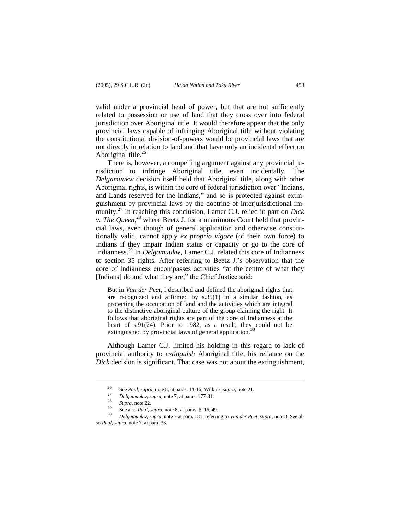valid under a provincial head of power, but that are not sufficiently related to possession or use of land that they cross over into federal jurisdiction over Aboriginal title. It would therefore appear that the only provincial laws capable of infringing Aboriginal title without violating the constitutional division-of-powers would be provincial laws that are not directly in relation to land and that have only an incidental effect on Aboriginal title. $^{26}$ 

There is, however, a compelling argument against any provincial jurisdiction to infringe Aboriginal title, even incidentally. The *Delgamuukw* decision itself held that Aboriginal title, along with other Aboriginal rights, is within the core of federal jurisdiction over "Indians, and Lands reserved for the Indians," and so is protected against extinguishment by provincial laws by the doctrine of interjurisdictional immunity.<sup>27</sup> In reaching this conclusion, Lamer C.J. relied in part on *Dick v. The Queen*, <sup>28</sup> where Beetz J. for a unanimous Court held that provincial laws, even though of general application and otherwise constitutionally valid, cannot apply *ex proprio vigore* (of their own force) to Indians if they impair Indian status or capacity or go to the core of Indianness.<sup>29</sup> In *Delgamuukw*, Lamer C.J. related this core of Indianness to section 35 rights. After referring to Beetz J.'s observation that the core of Indianness encompasses activities "at the centre of what they [Indians] do and what they are," the Chief Justice said:

But in *Van der Peet*, I described and defined the aboriginal rights that are recognized and affirmed by s.35(1) in a similar fashion, as protecting the occupation of land and the activities which are integral to the distinctive aboriginal culture of the group claiming the right. It follows that aboriginal rights are part of the core of Indianness at the heart of s.91(24). Prior to 1982, as a result, they could not be extinguished by provincial laws of general application.

Although Lamer C.J. limited his holding in this regard to lack of provincial authority to *extinguish* Aboriginal title, his reliance on the *Dick* decision is significant. That case was not about the extinguishment,

<sup>26</sup> See *Paul*, *supra*, note 8, at paras. 14-16; Wilkins, *supra*, note 21.

<sup>27</sup> *Delgamuukw*, *supra*, note 7, at paras. 177-81.

 $\frac{28}{29}$  *Supra*, note 22.

<sup>&</sup>lt;sup>29</sup> See also *Paul*, *supra*, note 8, at paras. 6, 16, 49.

<sup>30</sup> *Delgamuukw*, *supra*, note 7 at para. 181, referring to *Van der Peet*, *supra*, note 8. See also *Paul*, *supra*, note 7, at para. 33.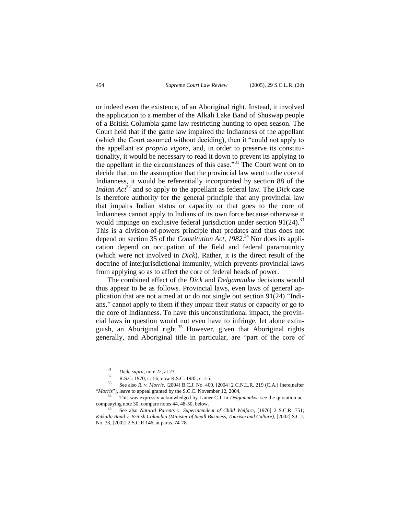or indeed even the existence, of an Aboriginal right. Instead, it involved the application to a member of the Alkali Lake Band of Shuswap people of a British Columbia game law restricting hunting to open season. The Court held that if the game law impaired the Indianness of the appellant (which the Court assumed without deciding), then it "could not apply to the appellant *ex proprio vigore*, and, in order to preserve its constitutionality, it would be necessary to read it down to prevent its applying to the appellant in the circumstances of this case.<sup>331</sup> The Court went on to decide that, on the assumption that the provincial law went to the core of Indianness, it would be referentially incorporated by section 88 of the *Indian Act*<sup>32</sup> and so apply to the appellant as federal law. The *Dick* case is therefore authority for the general principle that any provincial law that impairs Indian status or capacity or that goes to the core of Indianness cannot apply to Indians of its own force because otherwise it would impinge on exclusive federal jurisdiction under section  $91(24)$ .<sup>33</sup> This is a division-of-powers principle that predates and thus does not depend on section 35 of the *Constitution Act, 1982*. <sup>34</sup> Nor does its application depend on occupation of the field and federal paramountcy (which were not involved in *Dick*). Rather, it is the direct result of the doctrine of interjurisdictional immunity, which prevents provincial laws from applying so as to affect the core of federal heads of power.

The combined effect of the *Dick* and *Delgamuukw* decisions would thus appear to be as follows. Provincial laws, even laws of general application that are not aimed at or do not single out section 91(24) "Indians," cannot apply to them if they impair their status or capacity or go to the core of Indianness. To have this unconstitutional impact, the provincial laws in question would not even have to infringe, let alone extinguish, an Aboriginal right.<sup>35</sup> However, given that Aboriginal rights generally, and Aboriginal title in particular, are "part of the core of

<sup>31</sup> *Dick*, *supra*, note 22, at 23.

 $\frac{32}{33}$  R.S.C. 1970, c. I-6, now R.S.C. 1985, c. I-5.

<sup>33</sup> See also *R. v. Morris*, [2004] B.C.J. No. 400, [2004] 2 C.N.L.R. 219 (C.A.) [hereinafter "*Morris*"], leave to appeal granted by the S.C.C. November 12, 2004.

This was expressly acknowledged by Lamer C.J. in *Delgamuukw*: see the quotation accompanying note 30, compare notes 44, 48-50, below.

<sup>35</sup> See also *Natural Parents v. Superintendent of Child Welfare*, [1976] 2 S.C.R. 751; *Kitkatla Band v. British Columbia (Minister of Small Business, Tourism and Culture)*, [2002] S.C.J. No. 33, [2002] 2 S.C.R 146, at paras. 74-78.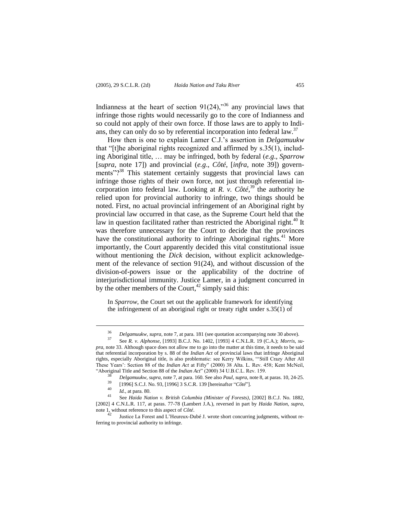Indianness at the heart of section  $91(24)$ ,<sup>36</sup> any provincial laws that infringe those rights would necessarily go to the core of Indianness and so could not apply of their own force. If those laws are to apply to Indians, they can only do so by referential incorporation into federal law.<sup>37</sup>

How then is one to explain Lamer C.J.'s assertion in *Delgamuukw* that "[t]he aboriginal rights recognized and affirmed by s.35(1), including Aboriginal title, … may be infringed, both by federal (*e.g*., *Sparrow* [*supra*, note 17]) and provincial (*e.g*., *Côté*, [*infra*, note 39]) governments"?<sup>38</sup> This statement certainly suggests that provincial laws can infringe those rights of their own force, not just through referential incorporation into federal law. Looking at *R. v. Côté*,<sup>39</sup> the authority he relied upon for provincial authority to infringe, two things should be noted. First, no actual provincial infringement of an Aboriginal right by provincial law occurred in that case, as the Supreme Court held that the law in question facilitated rather than restricted the Aboriginal right.<sup>40</sup> It was therefore unnecessary for the Court to decide that the provinces have the constitutional authority to infringe Aboriginal rights.<sup>41</sup> More importantly, the Court apparently decided this vital constitutional issue without mentioning the *Dick* decision, without explicit acknowledgement of the relevance of section 91(24), and without discussion of the division-of-powers issue or the applicability of the doctrine of interjurisdictional immunity. Justice Lamer, in a judgment concurred in by the other members of the Court, $42 \sinh y$  said this:

In *Sparrow*, the Court set out the applicable framework for identifying the infringement of an aboriginal right or treaty right under s.35(1) of

<sup>36</sup> *Delgamuukw*, *supra*, note 7, at para. 181 (see quotation accompanying note 30 above).

<sup>37</sup> See *R. v. Alphonse*, [1993] B.C.J. No. 1402, [1993] 4 C.N.L.R. 19 (C.A.); *Morris*, *supra*, note 33. Although space does not allow me to go into the matter at this time, it needs to be said that referential incorporation by s. 88 of the *Indian Act* of provincial laws that infringe Aboriginal rights, especially Aboriginal title, is also problematic: see Kerry Wilkins, "'Still Crazy After All These Years': Section 88 of the *Indian Act* at Fifty" (2000) 38 Alta. L. Rev. 458; Kent McNeil, "Aboriginal Title and Section 88 of the *Indian Act*" (2000) 34 U.B.C.L. Rev. 159.

<sup>38</sup> *Delgamuukw*, *supra*, note 7, at para. 160. See also *Paul*, *supra*, note 8, at paras. 10, 24-25.

<sup>39</sup> [1996] S.C.J. No. 93, [1996] 3 S.C.R. 139 [hereinafter "*Côté*"].

 $\frac{40}{41}$  *Id.*, at para. 80.

<sup>41</sup> See *Haida Nation v. British Columbia (Minister of Forests)*, [2002] B.C.J. No. 1882, [2002] 4 C.N.L.R. 117, at paras. 77-78 (Lambert J.A.), reversed in part by *Haida Nation*, *supra*, note 1, without reference to this aspect of *Côté*.

Justice La Forest and L'Heureux-Dubé J. wrote short concurring judgments, without referring to provincial authority to infringe.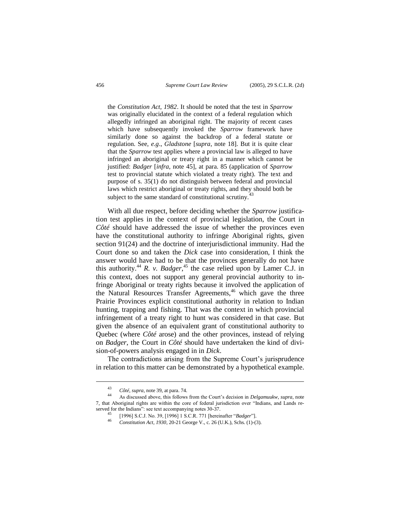the *Constitution Act, 1982*. It should be noted that the test in *Sparrow* was originally elucidated in the context of a federal regulation which allegedly infringed an aboriginal right. The majority of recent cases which have subsequently invoked the *Sparrow* framework have similarly done so against the backdrop of a federal statute or regulation. See, *e.g*., *Gladstone* [*supra*, note 18]. But it is quite clear that the *Sparrow* test applies where a provincial law is alleged to have infringed an aboriginal or treaty right in a manner which cannot be justified: *Badger* [*infra*, note 45], at para. 85 (application of *Sparrow* test to provincial statute which violated a treaty right). The text and purpose of s. 35(1) do not distinguish between federal and provincial laws which restrict aboriginal or treaty rights, and they should both be subject to the same standard of constitutional scrutiny.<sup>43</sup>

With all due respect, before deciding whether the *Sparrow* justification test applies in the context of provincial legislation, the Court in *Côté* should have addressed the issue of whether the provinces even have the constitutional authority to infringe Aboriginal rights, given section 91(24) and the doctrine of interjurisdictional immunity. Had the Court done so and taken the *Dick* case into consideration, I think the answer would have had to be that the provinces generally do not have this authority.<sup>44</sup> *R. v. Badger*<sup>45</sup> the case relied upon by Lamer C.J. in this context, does not support any general provincial authority to infringe Aboriginal or treaty rights because it involved the application of the Natural Resources Transfer Agreements,<sup>46</sup> which gave the three Prairie Provinces explicit constitutional authority in relation to Indian hunting, trapping and fishing. That was the context in which provincial infringement of a treaty right to hunt was considered in that case. But given the absence of an equivalent grant of constitutional authority to Quebec (where *Côté* arose) and the other provinces, instead of relying on *Badger*, the Court in *Côté* should have undertaken the kind of division-of-powers analysis engaged in in *Dick*.

The contradictions arising from the Supreme Court's jurisprudence in relation to this matter can be demonstrated by a hypothetical example.

<sup>43</sup> *Côté*, *supra*, note 39, at para. 74.

<sup>44</sup> As discussed above, this follows from the Court's decision in *Delgamuukw*, *supra*, note 7, that Aboriginal rights are within the core of federal jurisdiction over "Indians, and Lands reserved for the Indians": see text accompanying notes 30-37.

<sup>45</sup> [1996] S.C.J. No. 39, [1996] 1 S.C.R. 771 [hereinafter "*Badger*"].

<sup>46</sup> *Constitution Act, 1930*, 20-21 George V., c. 26 (U.K.), Schs. (1)-(3).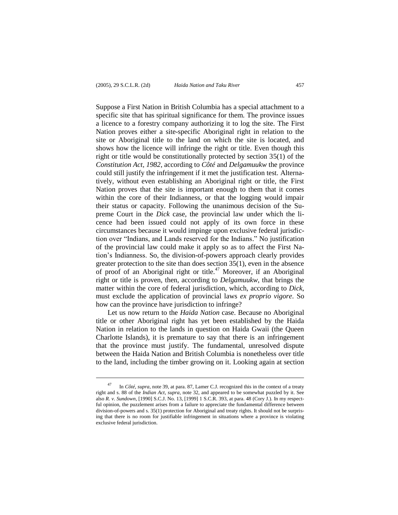l

Suppose a First Nation in British Columbia has a special attachment to a specific site that has spiritual significance for them. The province issues a licence to a forestry company authorizing it to log the site. The First Nation proves either a site-specific Aboriginal right in relation to the site or Aboriginal title to the land on which the site is located, and shows how the licence will infringe the right or title. Even though this right or title would be constitutionally protected by section 35(1) of the *Constitution Act, 1982*, according to *Côté* and *Delgamuukw* the province could still justify the infringement if it met the justification test. Alternatively, without even establishing an Aboriginal right or title, the First Nation proves that the site is important enough to them that it comes within the core of their Indianness, or that the logging would impair their status or capacity. Following the unanimous decision of the Supreme Court in the *Dick* case, the provincial law under which the licence had been issued could not apply of its own force in these circumstances because it would impinge upon exclusive federal jurisdiction over "Indians, and Lands reserved for the Indians." No justification of the provincial law could make it apply so as to affect the First Nation's Indianness. So, the division-of-powers approach clearly provides greater protection to the site than does section 35(1), even in the absence of proof of an Aboriginal right or title.<sup>47</sup> Moreover, if an Aboriginal right or title is proven, then, according to *Delgamuukw*, that brings the matter within the core of federal jurisdiction, which, according to *Dick*, must exclude the application of provincial laws *ex proprio vigore*. So how can the province have jurisdiction to infringe?

Let us now return to the *Haida Nation* case. Because no Aboriginal title or other Aboriginal right has yet been established by the Haida Nation in relation to the lands in question on Haida Gwaii (the Queen Charlotte Islands), it is premature to say that there is an infringement that the province must justify. The fundamental, unresolved dispute between the Haida Nation and British Columbia is nonetheless over title to the land, including the timber growing on it. Looking again at section

<sup>47</sup> In *Côté*, *supra*, note 39, at para. 87, Lamer C.J. recognized this in the context of a treaty right and s. 88 of the *Indian Act*, *supra*, note 32, and appeared to be somewhat puzzled by it. See also *R. v. Sundown*, [1990] S.C.J. No. 13, [1999] 1 S.C.R. 393, at para. 48 (Cory J.). In my respectful opinion, the puzzlement arises from a failure to appreciate the fundamental difference between division-of-powers and s. 35(1) protection for Aboriginal and treaty rights. It should not be surprising that there is no room for justifiable infringement in situations where a province is violating exclusive federal jurisdiction.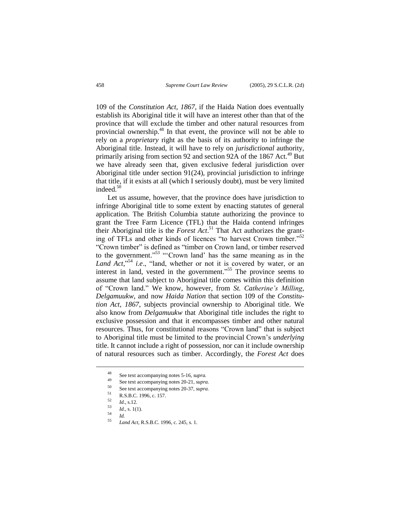109 of the *Constitution Act, 1867*, if the Haida Nation does eventually establish its Aboriginal title it will have an interest other than that of the province that will exclude the timber and other natural resources from provincial ownership.<sup>48</sup> In that event, the province will not be able to rely on a *proprietary* right as the basis of its authority to infringe the Aboriginal title. Instead, it will have to rely on *jurisdictional* authority, primarily arising from section 92 and section 92A of the 1867 Act.<sup>49</sup> But we have already seen that, given exclusive federal jurisdiction over Aboriginal title under section 91(24), provincial jurisdiction to infringe that title, if it exists at all (which I seriously doubt), must be very limited indeed.<sup>50</sup>

Let us assume, however, that the province does have jurisdiction to infringe Aboriginal title to some extent by enacting statutes of general application. The British Columbia statute authorizing the province to grant the Tree Farm Licence (TFL) that the Haida contend infringes their Aboriginal title is the *Forest Act*. <sup>51</sup> That Act authorizes the granting of TFLs and other kinds of licences "to harvest Crown timber."<sup>52</sup> "Crown timber" is defined as "timber on Crown land, or timber reserved to the government." <sup>53</sup> "'Crown land' has the same meaning as in the Land Act,<sup>"54</sup> *i.e.*, "land, whether or not it is covered by water, or an interest in land, vested in the government."<sup>55</sup> The province seems to assume that land subject to Aboriginal title comes within this definition of "Crown land." We know, however, from *St. Catherine's Milling*, *Delgamuukw*, and now *Haida Nation* that section 109 of the *Constitution Act, 1867*, subjects provincial ownership to Aboriginal title. We also know from *Delgamuukw* that Aboriginal title includes the right to exclusive possession and that it encompasses timber and other natural resources. Thus, for constitutional reasons "Crown land" that is subject to Aboriginal title must be limited to the provincial Crown's *underlying* title. It cannot include a right of possession, nor can it include ownership of natural resources such as timber. Accordingly, the *Forest Act* does

<sup>48</sup> See text accompanying notes 5-16, *supra.*

<sup>49</sup> See text accompanying notes 20-21, *supra.*

<sup>50</sup> See text accompanying notes 20-37, *supra.*

 $\frac{51}{52}$  R.S.B.C. 1996, c. 157.

 $\frac{52}{53}$  *Id.*, s.12.

 $\frac{53}{54}$  *Id.*, s. 1(1).

 $\frac{54}{55}$  *Id.* 

<sup>55</sup> *Land Act*, R.S.B.C. 1996, c. 245, s. 1.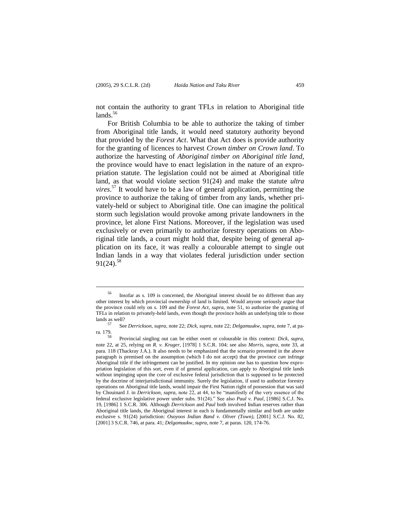l

not contain the authority to grant TFLs in relation to Aboriginal title  $lands.<sup>56</sup>$ 

For British Columbia to be able to authorize the taking of timber from Aboriginal title lands, it would need statutory authority beyond that provided by the *Forest Act*. What that Act does is provide authority for the granting of licences to harvest *Crown timber on Crown land*. To authorize the harvesting of *Aboriginal timber on Aboriginal title land*, the province would have to enact legislation in the nature of an expropriation statute. The legislation could not be aimed at Aboriginal title land, as that would violate section 91(24) and make the statute *ultra vires*. <sup>57</sup> It would have to be a law of general application, permitting the province to authorize the taking of timber from any lands, whether privately-held or subject to Aboriginal title. One can imagine the political storm such legislation would provoke among private landowners in the province, let alone First Nations. Moreover, if the legislation was used exclusively or even primarily to authorize forestry operations on Aboriginal title lands, a court might hold that, despite being of general application on its face, it was really a colourable attempt to single out Indian lands in a way that violates federal jurisdiction under section  $91(24).$ <sup>58</sup>

<sup>56</sup> Insofar as s. 109 is concerned, the Aboriginal interest should be no different than any other interest by which provincial ownership of land is limited. Would anyone seriously argue that the province could rely on s. 109 and the *Forest Act*, *supra*, note 51, to authorize the granting of TFLs in relation to privately-held lands, even though the province holds an underlying title to those lands as well?

<sup>57</sup> See *Derrickson*, *supra*, note 22; *Dick*, *supra*, note 22; *Delgamuukw*, *supra*, note 7, at para. 179.

<sup>58</sup> Provincial singling out can be either overt or colourable in this context: *Dick*, *supra*, note 22, at 25, relying on *R. v. Kruger*, [1978] 1 S.C.R. 104; see also *Morris*, *supra*, note 33, at para. 118 (Thackray J.A.). It also needs to be emphasized that the scenario presented in the above paragraph is premised on the assumption (which I do not accept) that the province *can* infringe Aboriginal title if the infringement can be justified. In my opinion one has to question how expropriation legislation of this sort, even if of general application, can apply to Aboriginal title lands without impinging upon the core of exclusive federal jurisdiction that is supposed to be protected by the doctrine of interjurisdictional immunity. Surely the legislation, if used to authorize forestry operations on Aboriginal title lands, would impair the First Nation right of possession that was said by Chouinard J. in *Derrickson*, *supra*, note 22, at 44, to be "manifestly of the very essence of the federal exclusive legislative power under subs. 91(24)." See also *Paul v. Paul*, [1986] S.C.J. No. 19, [1986] 1 S.C.R. 306. Although *Derrickson* and *Paul* both involved Indian reserves rather than Aboriginal title lands, the Aboriginal interest in each is fundamentally similar and both are under exclusive s. 91(24) jurisdiction: *Osoyoos Indian Band v. Oliver (Town)*, [2001] S.C.J. No. 82, [2001] 3 S.C.R. 746, at para. 41; *Delgamuukw*, *supra*, note 7, at paras. 120, 174-76.